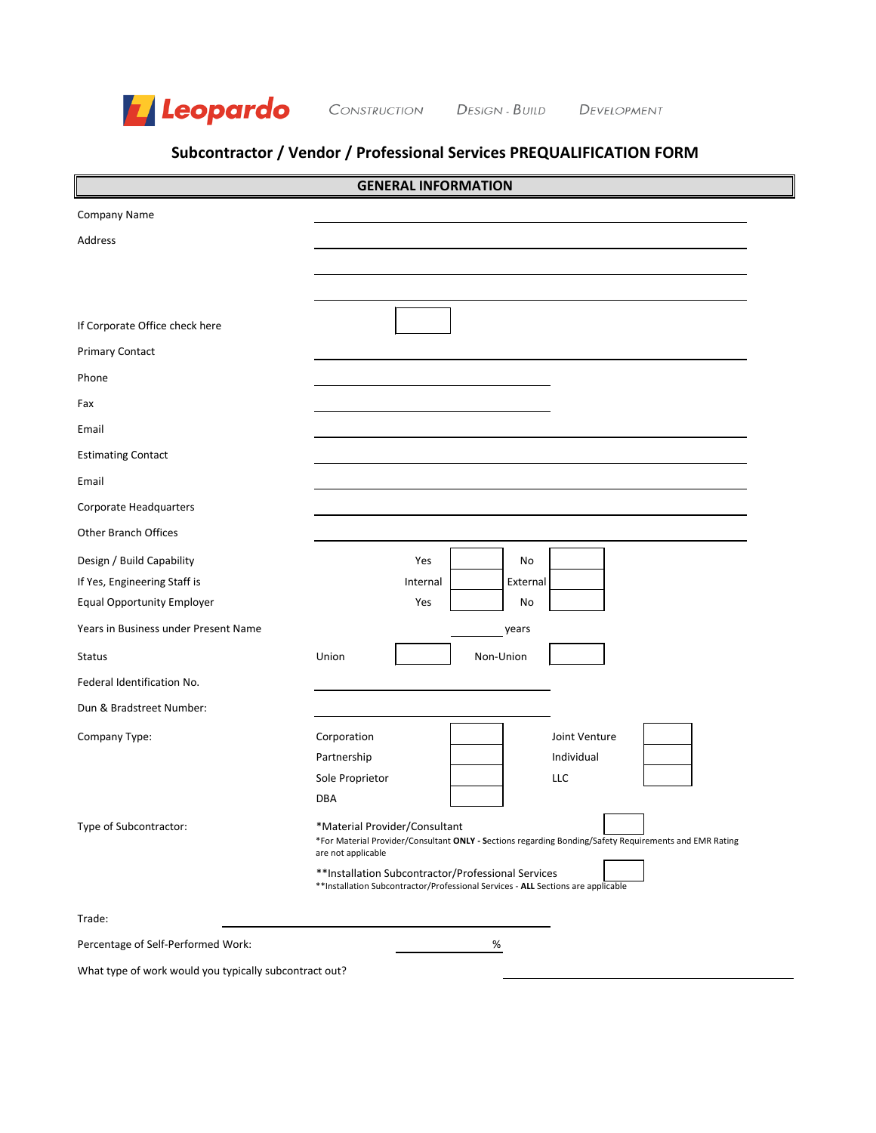

CONSTRUCTION DESIGN - BUILD DEVELOPMENT

# **Subcontractor / Vendor / Professional Services PREQUALIFICATION FORM**

|                                                           |                                                     |                 | <b>GENERAL INFORMATION</b>                                                                                                               |                                                                                                        |  |
|-----------------------------------------------------------|-----------------------------------------------------|-----------------|------------------------------------------------------------------------------------------------------------------------------------------|--------------------------------------------------------------------------------------------------------|--|
| Company Name                                              |                                                     |                 |                                                                                                                                          |                                                                                                        |  |
| Address                                                   |                                                     |                 |                                                                                                                                          |                                                                                                        |  |
|                                                           |                                                     |                 |                                                                                                                                          |                                                                                                        |  |
|                                                           |                                                     |                 |                                                                                                                                          |                                                                                                        |  |
| If Corporate Office check here                            |                                                     |                 |                                                                                                                                          |                                                                                                        |  |
| <b>Primary Contact</b>                                    |                                                     |                 |                                                                                                                                          |                                                                                                        |  |
| Phone                                                     |                                                     |                 |                                                                                                                                          |                                                                                                        |  |
| Fax                                                       |                                                     |                 |                                                                                                                                          |                                                                                                        |  |
| Email                                                     |                                                     |                 |                                                                                                                                          |                                                                                                        |  |
| <b>Estimating Contact</b>                                 |                                                     |                 |                                                                                                                                          |                                                                                                        |  |
| Email                                                     |                                                     |                 |                                                                                                                                          |                                                                                                        |  |
| <b>Corporate Headquarters</b>                             |                                                     |                 |                                                                                                                                          |                                                                                                        |  |
| <b>Other Branch Offices</b>                               |                                                     |                 |                                                                                                                                          |                                                                                                        |  |
| Design / Build Capability<br>If Yes, Engineering Staff is |                                                     | Yes<br>Internal | No<br>External                                                                                                                           |                                                                                                        |  |
| <b>Equal Opportunity Employer</b>                         |                                                     | Yes             | No                                                                                                                                       |                                                                                                        |  |
| Years in Business under Present Name                      |                                                     |                 | years                                                                                                                                    |                                                                                                        |  |
| <b>Status</b>                                             | Union                                               |                 | Non-Union                                                                                                                                |                                                                                                        |  |
| Federal Identification No.                                |                                                     |                 |                                                                                                                                          |                                                                                                        |  |
| Dun & Bradstreet Number:                                  |                                                     |                 |                                                                                                                                          |                                                                                                        |  |
| Company Type:                                             | Corporation                                         |                 |                                                                                                                                          | Joint Venture                                                                                          |  |
|                                                           | Partnership                                         |                 |                                                                                                                                          | Individual                                                                                             |  |
|                                                           | Sole Proprietor                                     |                 |                                                                                                                                          | <b>LLC</b>                                                                                             |  |
|                                                           | DBA                                                 |                 |                                                                                                                                          |                                                                                                        |  |
| Type of Subcontractor:                                    | *Material Provider/Consultant<br>are not applicable |                 |                                                                                                                                          | *For Material Provider/Consultant ONLY - Sections regarding Bonding/Safety Requirements and EMR Rating |  |
|                                                           |                                                     |                 | ** Installation Subcontractor/Professional Services<br>** Installation Subcontractor/Professional Services - ALL Sections are applicable |                                                                                                        |  |
| Trade:                                                    |                                                     |                 |                                                                                                                                          |                                                                                                        |  |
| Percentage of Self-Performed Work:                        |                                                     |                 | %                                                                                                                                        |                                                                                                        |  |
| What type of work would you typically subcontract out?    |                                                     |                 |                                                                                                                                          |                                                                                                        |  |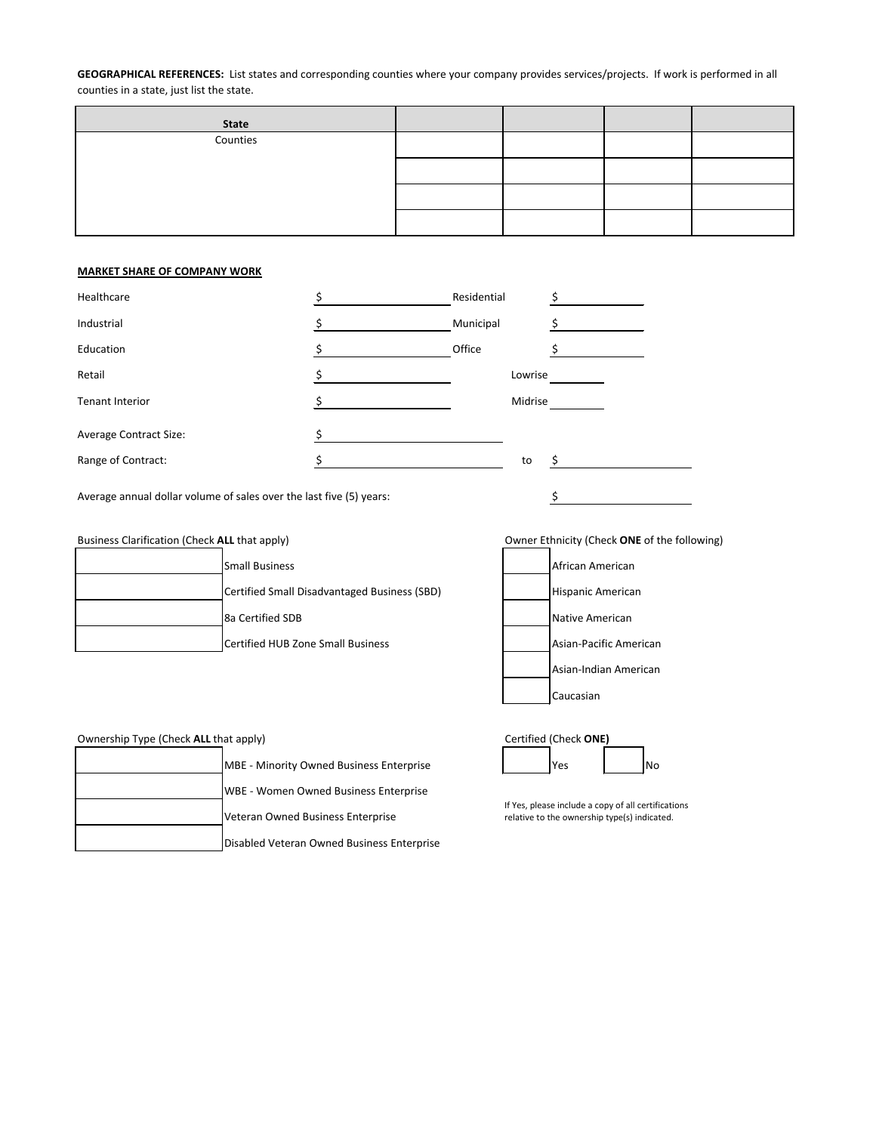**GEOGRAPHICAL REFERENCES:** List states and corresponding counties where your company provides services/projects. If work is performed in all counties in a state, just list the state.

| <b>State</b> |  |  |
|--------------|--|--|
| Counties     |  |  |
|              |  |  |
|              |  |  |
|              |  |  |

## **MARKET SHARE OF COMPANY WORK**

| Residential |  |
|-------------|--|
| Municipal   |  |
| Office      |  |
| Lowrise     |  |
| Midrise     |  |
|             |  |
| to          |  |
|             |  |

Average annual dollar volume of sales over the last five (5) years:  $\frac{\zeta}{\zeta}$ 

| Business Clarification (Check ALL that apply) |                                              | Owner Ethnicity (Check ONE of the following) |
|-----------------------------------------------|----------------------------------------------|----------------------------------------------|
|                                               | <b>Small Business</b>                        | African American                             |
|                                               | Certified Small Disadvantaged Business (SBD) | Hispanic American                            |
|                                               | 8a Certified SDB                             | <b>INative American</b>                      |
|                                               | Certified HUB Zone Small Business            | Asian-Pacific American                       |

| Owner Ethnicity (Check ONE of the follow |
|------------------------------------------|
| African American                         |
| <b>Hispanic American</b>                 |
| Native American                          |
| Asian-Pacific American                   |
| Asian-Indian American                    |
| Caucasian                                |

| Ownership Type (Check ALL that apply) |                                                 | Certified (Check ONE)                                                                               |           |
|---------------------------------------|-------------------------------------------------|-----------------------------------------------------------------------------------------------------|-----------|
|                                       | <b>MBE - Minority Owned Business Enterprise</b> | IYes                                                                                                | <b>No</b> |
|                                       | <b>WBE - Women Owned Business Enterprise</b>    |                                                                                                     |           |
|                                       | Veteran Owned Business Enterprise               | If Yes, please include a copy of all certifications<br>relative to the ownership type(s) indicated. |           |
|                                       | Disabled Veteran Owned Business Enterprise      |                                                                                                     |           |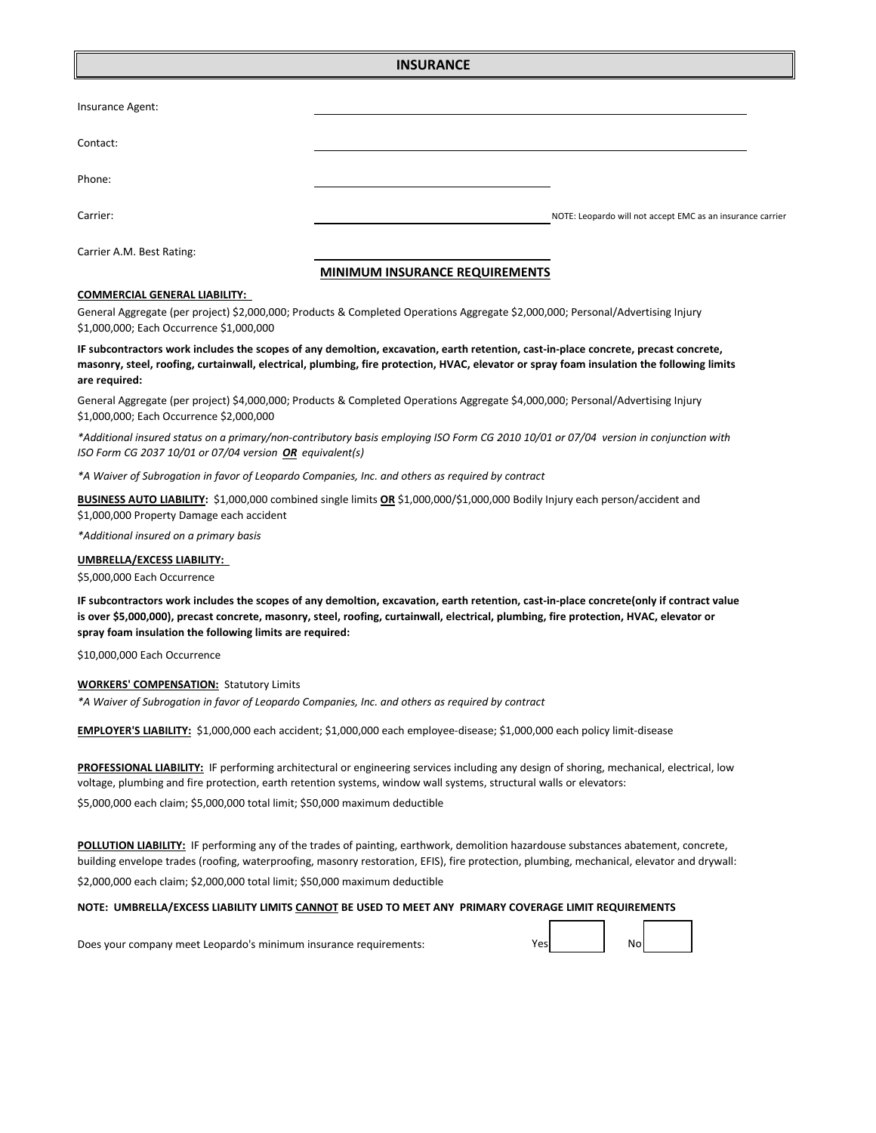## **INSURANCE**

| Insurance Agent:          |                                                            |
|---------------------------|------------------------------------------------------------|
| Contact:                  |                                                            |
| Phone:                    |                                                            |
| Carrier:                  | NOTE: Leopardo will not accept EMC as an insurance carrier |
| Carrier A.M. Best Rating: |                                                            |

## **MINIMUM INSURANCE REQUIREMENTS**

#### **COMMERCIAL GENERAL LIABILITY:**

General Aggregate (per project) \$2,000,000; Products & Completed Operations Aggregate \$2,000,000; Personal/Advertising Injury \$1,000,000; Each Occurrence \$1,000,000

## **IF subcontractors work includes the scopes of any demoltion, excavation, earth retention, cast-in-place concrete, precast concrete, masonry, steel, roofing, curtainwall, electrical, plumbing, fire protection, HVAC, elevator or spray foam insulation the following limits are required:**

General Aggregate (per project) \$4,000,000; Products & Completed Operations Aggregate \$4,000,000; Personal/Advertising Injury \$1,000,000; Each Occurrence \$2,000,000

*\*Additional insured status on a primary/non-contributory basis employing ISO Form CG 2010 10/01 or 07/04 version in conjunction with ISO Form CG 2037 10/01 or 07/04 version OR equivalent(s)* 

*\*A Waiver of Subrogation in favor of Leopardo Companies, Inc. and others as required by contract*

**BUSINESS AUTO LIABILITY:** \$1,000,000 combined single limits **OR** \$1,000,000/\$1,000,000 Bodily Injury each person/accident and \$1,000,000 Property Damage each accident

*\*Additional insured on a primary basis*

#### **UMBRELLA/EXCESS LIABILITY:**

\$5,000,000 Each Occurrence

**IF subcontractors work includes the scopes of any demoltion, excavation, earth retention, cast-in-place concrete(only if contract value is over \$5,000,000), precast concrete, masonry, steel, roofing, curtainwall, electrical, plumbing, fire protection, HVAC, elevator or spray foam insulation the following limits are required:**

\$10,000,000 Each Occurrence

#### **WORKERS' COMPENSATION:** Statutory Limits

*\*A Waiver of Subrogation in favor of Leopardo Companies, Inc. and others as required by contract*

**EMPLOYER'S LIABILITY:** \$1,000,000 each accident; \$1,000,000 each employee-disease; \$1,000,000 each policy limit-disease

\$5,000,000 each claim; \$5,000,000 total limit; \$50,000 maximum deductible **PROFESSIONAL LIABILITY:** IF performing architectural or engineering services including any design of shoring, mechanical, electrical, low voltage, plumbing and fire protection, earth retention systems, window wall systems, structural walls or elevators:

**POLLUTION LIABILITY:** IF performing any of the trades of painting, earthwork, demolition hazardouse substances abatement, concrete, building envelope trades (roofing, waterproofing, masonry restoration, EFIS), fire protection, plumbing, mechanical, elevator and drywall: \$2,000,000 each claim; \$2,000,000 total limit; \$50,000 maximum deductible

Yes No

#### **NOTE: UMBRELLA/EXCESS LIABILITY LIMITS CANNOT BE USED TO MEET ANY PRIMARY COVERAGE LIMIT REQUIREMENTS**

Does your company meet Leopardo's minimum insurance requirements: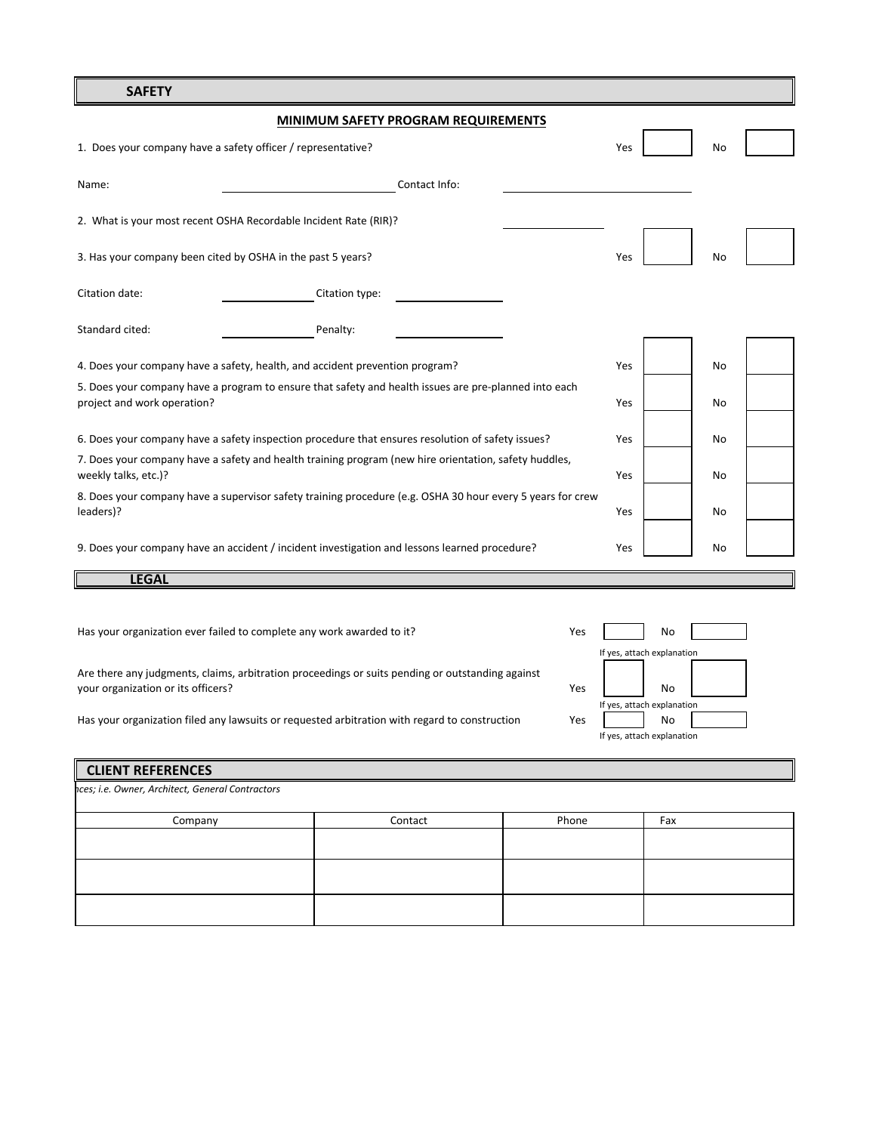## **SAFETY**

|                                                              | <b>MINIMUM SAFETY PROGRAM REQUIREMENTS</b>                                                                 |               |     |           |  |
|--------------------------------------------------------------|------------------------------------------------------------------------------------------------------------|---------------|-----|-----------|--|
| 1. Does your company have a safety officer / representative? |                                                                                                            |               | Yes | No        |  |
| Name:                                                        |                                                                                                            | Contact Info: |     |           |  |
|                                                              | 2. What is your most recent OSHA Recordable Incident Rate (RIR)?                                           |               |     |           |  |
| 3. Has your company been cited by OSHA in the past 5 years?  |                                                                                                            |               | Yes | No        |  |
| Citation date:                                               | Citation type:                                                                                             |               |     |           |  |
| Standard cited:                                              | Penalty:                                                                                                   |               |     |           |  |
|                                                              | 4. Does your company have a safety, health, and accident prevention program?                               |               | Yes | No        |  |
| project and work operation?                                  | 5. Does your company have a program to ensure that safety and health issues are pre-planned into each      |               | Yes | No        |  |
|                                                              | 6. Does your company have a safety inspection procedure that ensures resolution of safety issues?          |               | Yes | <b>No</b> |  |
| weekly talks, etc.)?                                         | 7. Does your company have a safety and health training program (new hire orientation, safety huddles,      |               | Yes | No        |  |
| leaders)?                                                    | 8. Does your company have a supervisor safety training procedure (e.g. OSHA 30 hour every 5 years for crew |               | Yes | No        |  |
|                                                              | 9. Does your company have an accident / incident investigation and lessons learned procedure?              |               | Yes | No        |  |
| <b>LEGAL</b>                                                 |                                                                                                            |               |     |           |  |

Has your organization ever failed to complete any work awarded to it?

|                                                                                                  |     | If yes, attach explan |           |
|--------------------------------------------------------------------------------------------------|-----|-----------------------|-----------|
| Are there any judgments, claims, arbitration proceedings or suits pending or outstanding against |     |                       |           |
| your organization or its officers?                                                               | Yes |                       | <b>No</b> |

Has your organization filed any lawsuits or requested arbitration with regard to construction

|         | hces; i.e. Owner, Architect, General Contractors |     |  |  |  |
|---------|--------------------------------------------------|-----|--|--|--|
| Contact | Phone                                            | Fax |  |  |  |
|         |                                                  |     |  |  |  |
|         |                                                  |     |  |  |  |
|         |                                                  |     |  |  |  |
|         |                                                  |     |  |  |  |
|         |                                                  |     |  |  |  |

Yes No

Yes No

If yes, attach explanation

If yes, attach explanation

If yes, attach explanation